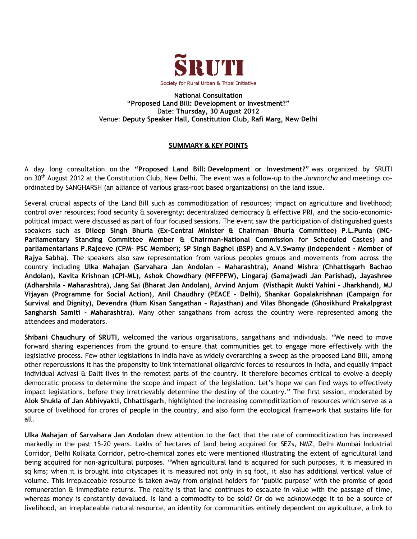

**National Consultation "Proposed Land Bill: Development or Investment?"** Date: **Thursday, 30 August 2012** Venue: **Deputy Speaker Hall, Constitution Club, Rafi Marg, New Delhi**

## **SUMMARY & KEY POINTS**

A day long consultation on the **"Proposed Land Bill: Development or Investment?"** was organized by SRUTI on 30th August 2012 at the Constitution Club, New Delhi. The event was a follow-up to the *Janmorcha* and meetings coordinated by SANGHARSH (an alliance of various grass-root based organizations) on the land issue.

Several crucial aspects of the Land Bill such as commoditization of resources; impact on agriculture and livelihood; control over resources; food security & sovereignty; decentralized democracy & effective PRI, and the socio-economicpolitical impact were discussed as part of four focused sessions. The event saw the participation of distinguished guests speakers such as **Dileep Singh Bhuria (Ex-Central Minister & Chairman Bhuria Committee) P.L.Punia (INC– Parliamentary Standing Committee Member & Chairman-National Commission for Scheduled Castes) and parliamentarians P.Rajeeve (CPM- PSC Member); SP Singh Baghel (BSP) and A.V.Swamy (Independent - Member of Rajya Sabha).** The speakers also saw representation from various peoples groups and movements from across the country including **Ulka Mahajan (Sarvahara Jan Andolan - Maharashtra), Anand Mishra (Chhattisgarh Bachao Andolan), Kavita Krishnan (CPI-ML), Ashok Chowdhary (NFFPFW), Lingaraj (Samajwadi Jan Parishad), Jayashree (Adharshila - Maharashtra), Jang Sai (Bharat Jan Andolan), Arvind Anjum (Visthapit Mukti Vahini – Jharkhand), MJ Vijayan (Programme for Social Action), Anil Chaudhry (PEACE – Delhi), Shankar Gopalakrishnan (Campaign for Survival and Dignity), Devendra (Hum Kisan Sangathan – Rajasthan) and Vilas Bhongade (Ghosikhurd Prakalpgrast Sangharsh Samiti - Maharashtra)**. Many other sangathans from across the country were represented among the attendees and moderators.

**Shibani Chaudhury of SRUTI,** welcomed the various organisations, sangathans and individuals. "We need to move forward sharing experiences from the ground to ensure that communities get to engage more effectively with the legislative process. Few other legislations in India have as widely overarching a sweep as the proposed Land Bill, among other repercussions it has the propensity to link international oligarchic forces to resources in India, and equally impact individual Adivasi & Dalit lives in the remotest parts of the country. It therefore becomes critical to evolve a deeply democratic process to determine the scope and impact of the legislation. Let's hope we can find ways to effectively impact legislations, before they irretrievably determine the destiny of the country." The first session, moderated by **Alok Shukla of Jan Abhivyakti, Chhattisgarh**, highlighted the increasing commoditization of resources which serve as a source of livelihood for crores of people in the country, and also form the ecological framework that sustains life for all.

**Ulka Mahajan of Sarvahara Jan Andolan** drew attention to the fact that the rate of commoditization has increased markedly in the past 15-20 years. Lakhs of hectares of land being acquired for SEZs, NMZ, Delhi Mumbai Industrial Corridor, Delhi Kolkata Corridor, petro-chemical zones etc were mentioned illustrating the extent of agricultural land being acquired for non-agricultural purposes. "When agricultural land is acquired for such purposes, it is measured in sq kms; when it is brought into cityscapes it is measured not only in sq foot, it also has additional vertical value of volume. This irreplaceable resource is taken away from original holders for "public purpose" with the promise of good remuneration & immediate returns. The reality is that land continues to escalate in value with the passage of time, whereas money is constantly devalued. Is land a commodity to be sold? Or do we acknowledge it to be a source of livelihood, an irreplaceable natural resource, an identity for communities entirely dependent on agriculture, a link to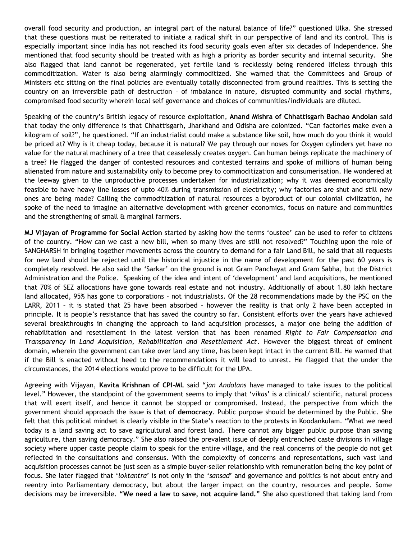overall food security and production, an integral part of the natural balance of life?" questioned Ulka. She stressed that these questions must be reiterated to initiate a radical shift in our perspective of land and its control. This is especially important since India has not reached its food security goals even after six decades of Independence. She mentioned that food security should be treated with as high a priority as border security and internal security. She also flagged that land cannot be regenerated, yet fertile land is recklessly being rendered lifeless through this commoditization. Water is also being alarmingly commoditized. She warned that the Committees and Group of Ministers etc sitting on the final policies are eventually totally disconnected from ground realities. This is setting the country on an irreversible path of destruction – of imbalance in nature, disrupted community and social rhythms, compromised food security wherein local self governance and choices of communities/individuals are diluted.

Speaking of the country"s British legacy of resource exploitation, **Anand Mishra of Chhattisgarh Bachao Andolan** said that today the only difference is that Chhattisgarh, Jharkhand and Odisha are colonized. "Can factories make even a kilogram of soil?", he questioned. "If an industrialist could make a substance like soil, how much do you think it would be priced at? Why is it cheap today, because it is natural? We pay through our noses for Oxygen cylinders yet have no value for the natural machinery of a tree that ceaselessly creates oxygen. Can human beings replicate the machinery of a tree? He flagged the danger of contested resources and contested terrains and spoke of millions of human being alienated from nature and sustainability only to become prey to commoditization and consumerisation. He wondered at the leeway given to the unproductive processes undertaken for industrialization; why it was deemed economically feasible to have heavy line losses of upto 40% during transmission of electricity; why factories are shut and still new ones are being made? Calling the commoditization of natural resources a byproduct of our colonial civilization, he spoke of the need to imagine an alternative development with greener economics, focus on nature and communities and the strengthening of small & marginal farmers.

**MJ Vijayan of Programme for Social Action** started by asking how the terms "oustee" can be used to refer to citizens of the country. "How can we cast a new bill, when so many lives are still not resolved?" Touching upon the role of SANGHARSH in bringing together movements across the country to demand for a fair Land Bill, he said that all requests for new land should be rejected until the historical injustice in the name of development for the past 60 years is completely resolved. He also said the "Sarkar" on the ground is not Gram Panchayat and Gram Sabha, but the District Administration and the Police. Speaking of the idea and intent of "development" and land acquisitions, he mentioned that 70% of SEZ allocations have gone towards real estate and not industry. Additionally of about 1.80 lakh hectare land allocated, 95% has gone to corporations – not industrialists. Of the 28 recommendations made by the PSC on the LARR, 2011 – it is stated that 25 have been absorbed – however the reality is that only 2 have been accepted in principle. It is people"s resistance that has saved the country so far. Consistent efforts over the years have achieved several breakthroughs in changing the approach to land acquisition processes, a major one being the addition of rehabilitation and resettlement in the latest version that has been renamed *Right to Fair Compensation and Transparency in Land Acquisition, Rehabilitation and Resettlement Act*. However the biggest threat of eminent domain, wherein the government can take over land any time, has been kept intact in the current Bill. He warned that if the Bill is enacted without heed to the recommendations it will lead to unrest. He flagged that the under the circumstances, the 2014 elections would prove to be difficult for the UPA.

Agreeing with Vijayan, **Kavita Krishnan of CPI-ML** said "*jan Andolans* have managed to take issues to the political level." However, the standpoint of the government seems to imply that "*vikas*" is a clinical/ scientific, natural process that will exert itself, and hence it cannot be stopped or compromised. Instead, the perspective from which the government should approach the issue is that of **democracy**. Public purpose should be determined by the Public. She felt that this political mindset is clearly visible in the State"s reaction to the protests in Koodankulam. "What we need today is a land saving act to save agricultural and forest land. There cannot any bigger public purpose than saving agriculture, than saving democracy." She also raised the prevalent issue of deeply entrenched caste divisions in village society where upper caste people claim to speak for the entire village, and the real concerns of the people do not get reflected in the consultations and consensus. With the complexity of concerns and representations, such vast land acquisition processes cannot be just seen as a simple buyer-seller relationship with remuneration being the key point of focus. She later flagged that "*loktantra*" is not only in the "*sansad*" and governance and politics is not about entry and reentry into Parliamentary democracy, but about the larger impact on the country, resources and people. Some decisions may be irreversible. **"We need a law to save, not acquire land."** She also questioned that taking land from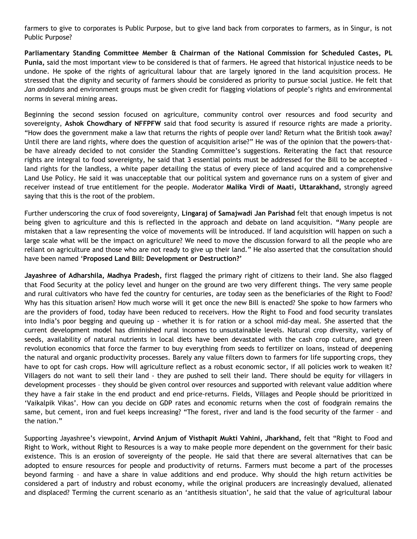farmers to give to corporates is Public Purpose, but to give land back from corporates to farmers, as in Singur, is not Public Purpose?

**Parliamentary Standing Committee Member & Chairman of the National Commission for Scheduled Castes, PL Punia,** said the most important view to be considered is that of farmers. He agreed that historical injustice needs to be undone. He spoke of the rights of agricultural labour that are largely ignored in the land acquisition process. He stressed that the dignity and security of farmers should be considered as priority to pursue social justice. He felt that *Jan andolans* and environment groups must be given credit for flagging violations of people"s rights and environmental norms in several mining areas.

Beginning the second session focused on agriculture, community control over resources and food security and sovereignty, **Ashok Chowdhary of NFFPFW** said that food security is assured if resource rights are made a priority. "How does the government make a law that returns the rights of people over land? Return what the British took away? Until there are land rights, where does the question of acquisition arise?" He was of the opinion that the powers-thatbe have already decided to not consider the Standing Committee's suggestions. Reiterating the fact that resource rights are integral to food sovereignty, he said that 3 essential points must be addressed for the Bill to be accepted land rights for the landless, a white paper detailing the status of every piece of land acquired and a comprehensive Land Use Policy. He said it was unacceptable that our political system and governance runs on a system of giver and receiver instead of true entitlement for the people. Moderator **Malika Virdi of Maati, Uttarakhand,** strongly agreed saying that this is the root of the problem.

Further underscoring the crux of food sovereignty, **Lingaraj of Samajwadi Jan Parishad** felt that enough impetus is not being given to agriculture and this is reflected in the approach and debate on land acquisition. **"**Many people are mistaken that a law representing the voice of movements will be introduced. If land acquisition will happen on such a large scale what will be the impact on agriculture? We need to move the discussion forward to all the people who are reliant on agriculture and those who are not ready to give up their land." He also asserted that the consultation should have been named "**Proposed Land Bill: Development or Destruction?'** 

**Jayashree of Adharshila, Madhya Pradesh,** first flagged the primary right of citizens to their land. She also flagged that Food Security at the policy level and hunger on the ground are two very different things. The very same people and rural cultivators who have fed the country for centuries, are today seen as the beneficiaries of the Right to Food? Why has this situation arisen? How much worse will it get once the new Bill is enacted? She spoke to how farmers who are the providers of food, today have been reduced to receivers. How the Right to Food and food security translates into India"s poor begging and queuing up - whether it is for ration or a school mid-day meal. She asserted that the current development model has diminished rural incomes to unsustainable levels. Natural crop diversity, variety of seeds, availability of natural nutrients in local diets have been devastated with the cash crop culture, and green revolution economics that force the farmer to buy everything from seeds to fertilizer on loans, instead of deepening the natural and organic productivity processes. Barely any value filters down to farmers for life supporting crops, they have to opt for cash crops. How will agriculture reflect as a robust economic sector, if all policies work to weaken it? Villagers do not want to sell their land - they are pushed to sell their land. There should be equity for villagers in development processes – they should be given control over resources and supported with relevant value addition where they have a fair stake in the end product and end price-returns. Fields, Villages and People should be prioritized in "Vaikalpik Vikas". How can you decide on GDP rates and economic returns when the cost of foodgrain remains the same, but cement, iron and fuel keeps increasing? "The forest, river and land is the food security of the farmer – and the nation."

Supporting Jayashree"s viewpoint, **Arvind Anjum of Visthapit Mukti Vahini, Jharkhand,** felt that "Right to Food and Right to Work, without Right to Resources is a way to make people more dependent on the government for their basic existence. This is an erosion of sovereignty of the people. He said that there are several alternatives that can be adopted to ensure resources for people and productivity of returns. Farmers must become a part of the processes beyond farming – and have a share in value additions and end produce. Why should the high return activities be considered a part of industry and robust economy, while the original producers are increasingly devalued, alienated and displaced? Terming the current scenario as an "antithesis situation", he said that the value of agricultural labour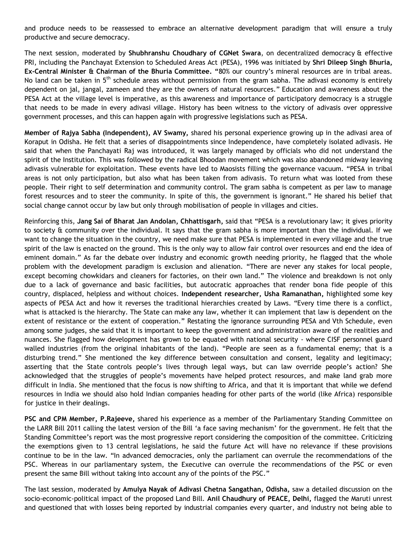and produce needs to be reassessed to embrace an alternative development paradigm that will ensure a truly productive and secure democracy.

The next session, moderated by **Shubhranshu Choudhary of CGNet Swara**, on decentralized democracy & effective PRI, including the Panchayat Extension to Scheduled Areas Act (PESA), 1996 was initiated by **Shri Dileep Singh Bhuria, Ex-Central Minister & Chairman of the Bhuria Committee. "**80% our country"s mineral resources are in tribal areas. No land can be taken in  $5<sup>th</sup>$  schedule areas without permission from the gram sabha. The adivasi economy is entirely dependent on jal, jangal, zameen and they are the owners of natural resources." Education and awareness about the PESA Act at the village level is imperative, as this awareness and importance of participatory democracy is a struggle that needs to be made in every adivasi village. History has been witness to the victory of adivasis over oppressive government processes, and this can happen again with progressive legislations such as PESA.

**Member of Rajya Sabha (Independent), AV Swamy,** shared his personal experience growing up in the adivasi area of Koraput in Odisha. He felt that a series of disappointments since Independence, have completely isolated adivasis. He said that when the Panchayati Raj was introduced, it was largely managed by officials who did not understand the spirit of the Institution. This was followed by the radical Bhoodan movement which was also abandoned midway leaving adivasis vulnerable for exploitation. These events have led to Maosists filling the governance vacuum. "PESA in tribal areas is not only participation, but also what has been taken from adivasis. To return what was looted from these people. Their right to self determination and community control. The gram sabha is competent as per law to manage forest resources and to steer the community. In spite of this, the government is ignorant." He shared his belief that social change cannot occur by law but only through mobilisation of people in villages and cities.

Reinforcing this, **Jang Sai of Bharat Jan Andolan, Chhattisgarh,** said that "PESA is a revolutionary law; it gives priority to society & community over the individual. It says that the gram sabha is more important than the individual. If we want to change the situation in the country, we need make sure that PESA is implemented in every village and the true spirit of the law is enacted on the ground. This is the only way to allow fair control over resources and end the idea of eminent domain." As far the debate over industry and economic growth needing priority, he flagged that the whole problem with the development paradigm is exclusion and alienation. "There are never any stakes for local people, except becoming chowkidars and cleaners for factories, on their own land." The violence and breakdown is not only due to a lack of governance and basic facilities, but autocratic approaches that render bona fide people of this country, displaced, helpless and without choices. **Independent researcher, Usha Ramanathan,** highlighted some key aspects of PESA Act and how it reverses the traditional hierarchies created by Laws. "Every time there is a conflict, what is attacked is the hierarchy. The State can make any law, whether it can implement that law is dependent on the extent of resistance or the extent of cooperation." Restating the ignorance surrounding PESA and Vth Schedule, even among some judges, she said that it is important to keep the government and administration aware of the realities and nuances. She flagged how development has grown to be equated with national security - where CISF personnel guard walled industries (from the original inhabitants of the land). "People are seen as a fundamental enemy; that is a disturbing trend." She mentioned the key difference between consultation and consent, legality and legitimacy; asserting that the State controls people"s lives through legal ways, but can law override people"s action? She acknowledged that the struggles of people"s movements have helped protect resources, and make land grab more difficult in India. She mentioned that the focus is now shifting to Africa, and that it is important that while we defend resources in India we should also hold Indian companies heading for other parts of the world (like Africa) responsible for justice in their dealings.

**PSC and CPM Member, P.Rajeeve,** shared his experience as a member of the Parliamentary Standing Committee on the LARR Bill 2011 calling the latest version of the Bill "a face saving mechanism" for the government. He felt that the Standing Committee"s report was the most progressive report considering the composition of the committee. Criticizing the exemptions given to 13 central legislations, he said the future Act will have no relevance if these provisions continue to be in the law. "In advanced democracies, only the parliament can overrule the recommendations of the PSC. Whereas in our parliamentary system, the Executive can overrule the recommendations of the PSC or even present the same Bill without taking into account any of the points of the PSC."

The last session, moderated by **Amulya Nayak of Adivasi Chetna Sangathan, Odisha,** saw a detailed discussion on the socio-economic-political impact of the proposed Land Bill. **Anil Chaudhury of PEACE, Delhi,** flagged the Maruti unrest and questioned that with losses being reported by industrial companies every quarter, and industry not being able to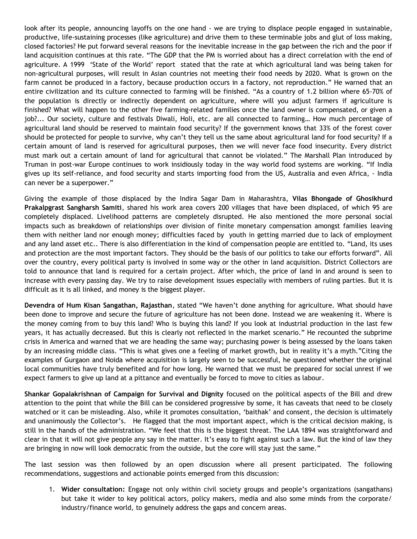look after its people, announcing layoffs on the one hand - we are trying to displace people engaged in sustainable, productive, life-sustaining processes (like agriculture) and drive them to these terminable jobs and glut of loss making, closed factories? He put forward several reasons for the inevitable increase in the gap between the rich and the poor if land acquisition continues at this rate. "The GDP that the PM is worried about has a direct correlation with the end of agriculture. A 1999 "State of the World" report stated that the rate at which agricultural land was being taken for non-agricultural purposes, will result in Asian countries not meeting their food needs by 2020. What is grown on the farm cannot be produced in a factory, because production occurs in a factory, not reproduction." He warned that an entire civilization and its culture connected to farming will be finished. "As a country of 1.2 billion where 65-70% of the population is directly or indirectly dependent on agriculture, where will you adjust farmers if agriculture is finished? What will happen to the other five farming-related families once the land owner is compensated, or given a job?... Our society, culture and festivals Diwali, Holi, etc. are all connected to farming… How much percentage of agricultural land should be reserved to maintain food security? If the government knows that 33% of the forest cover should be protected for people to survive, why can"t they tell us the same about agricultural land for food security? If a certain amount of land is reserved for agricultural purposes, then we will never face food insecurity. Every district must mark out a certain amount of land for agricultural that cannot be violated." The Marshall Plan introduced by Truman in post-war Europe continues to work insidiously today in the way world food systems are working. "If India gives up its self-reliance, and food security and starts importing food from the US, Australia and even Africa, - India can never be a superpower."

Giving the example of those displaced by the Indira Sagar Dam in Maharashtra, **Vilas Bhongade of Ghosikhurd Prakalpgrast Sangharsh Samiti**, shared his work area covers 200 villages that have been displaced, of which 95 are completely displaced. Livelihood patterns are completely disrupted. He also mentioned the more personal social impacts such as breakdown of relationships over division of finite monetary compensation amongst families leaving them with neither land nor enough money; difficulties faced by youth in getting married due to lack of employment and any land asset etc.. There is also differentiation in the kind of compensation people are entitled to. "Land, its uses and protection are the most important factors. They should be the basis of our politics to take our efforts forward". All over the country, every political party is involved in some way or the other in land acquisition. District Collectors are told to announce that land is required for a certain project. After which, the price of land in and around is seen to increase with every passing day. We try to raise development issues especially with members of ruling parties. But it is difficult as it is all linked, and money is the biggest player.

**Devendra of Hum Kisan Sangathan, Rajasthan**, stated "We haven"t done anything for agriculture. What should have been done to improve and secure the future of agriculture has not been done. Instead we are weakening it. Where is the money coming from to buy this land? Who is buying this land? If you look at industrial production in the last few years, it has actually decreased. But this is clearly not reflected in the market scenario." He recounted the subprime crisis in America and warned that we are heading the same way; purchasing power is being assessed by the loans taken by an increasing middle class. "This is what gives one a feeling of market growth, but in reality it's a myth."Citing the examples of Gurgaon and Noida where acquisition is largely seen to be successful, he questioned whether the original local communities have truly benefited and for how long. He warned that we must be prepared for social unrest if we expect farmers to give up land at a pittance and eventually be forced to move to cities as labour.

**Shankar Gopalakrishnan of Campaign for Survival and Dignity** focused on the political aspects of the Bill and drew attention to the point that while the Bill can be considered progressive by some, it has caveats that need to be closely watched or it can be misleading. Also, while it promotes consultation, "baithak" and consent, the decision is ultimately and unanimously the Collector's. He flagged that the most important aspect, which is the critical decision making, is still in the hands of the administration. "We feel that this is the biggest threat. The LAA 1894 was straightforward and clear in that it will not give people any say in the matter. It"s easy to fight against such a law. But the kind of law they are bringing in now will look democratic from the outside, but the core will stay just the same."

The last session was then followed by an open discussion where all present participated. The following recommendations, suggestions and actionable points emerged from this discussion:

1. **Wider consultation:** Engage not only within civil society groups and people"s organizations (sangathans) but take it wider to key political actors, policy makers, media and also some minds from the corporate/ industry/finance world, to genuinely address the gaps and concern areas.